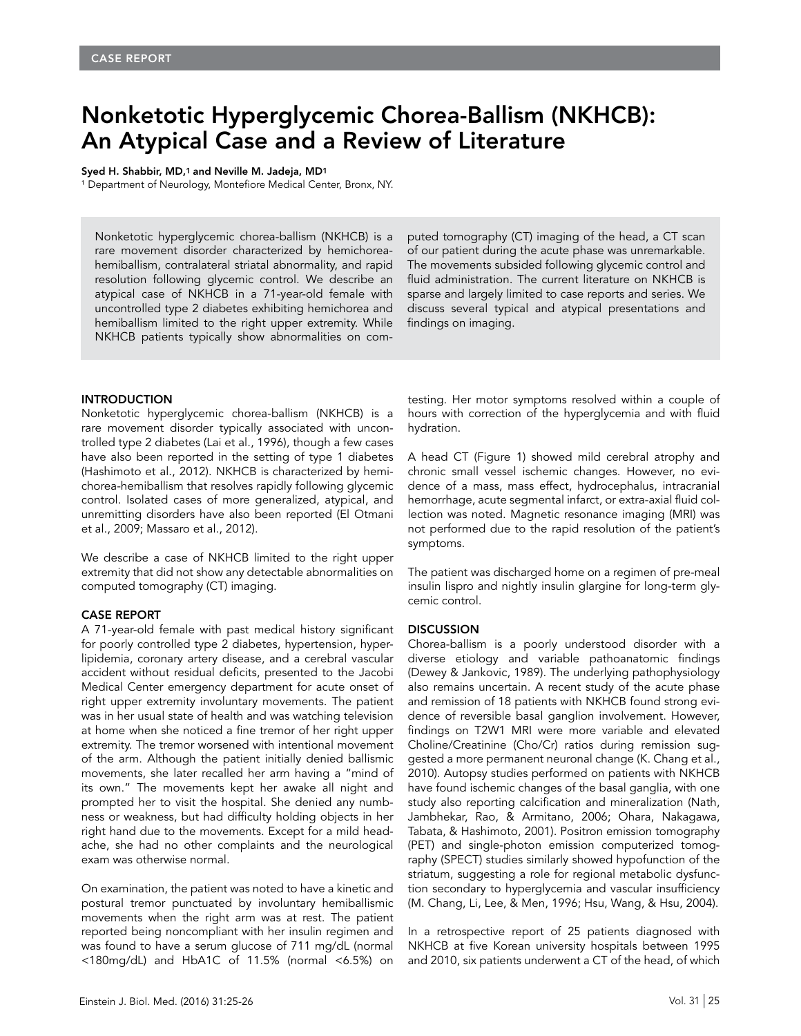# Nonketotic Hyperglycemic Chorea-Ballism (NKHCB): An Atypical Case and a Review of Literature

#### Syed H. Shabbir, MD,1 and Neville M. Jadeja, MD1

<sup>1</sup> Department of Neurology, Montefiore Medical Center, Bronx, NY.

Nonketotic hyperglycemic chorea-ballism (NKHCB) is a rare movement disorder characterized by hemichoreahemiballism, contralateral striatal abnormality, and rapid resolution following glycemic control. We describe an atypical case of NKHCB in a 71-year-old female with uncontrolled type 2 diabetes exhibiting hemichorea and hemiballism limited to the right upper extremity. While NKHCB patients typically show abnormalities on computed tomography (CT) imaging of the head, a CT scan of our patient during the acute phase was unremarkable. The movements subsided following glycemic control and fluid administration. The current literature on NKHCB is sparse and largely limited to case reports and series. We discuss several typical and atypical presentations and findings on imaging.

## INTRODUCTION

Nonketotic hyperglycemic chorea-ballism (NKHCB) is a rare movement disorder typically associated with uncontrolled type 2 diabetes (Lai et al., 1996), though a few cases have also been reported in the setting of type 1 diabetes (Hashimoto et al., 2012). NKHCB is characterized by hemichorea-hemiballism that resolves rapidly following glycemic control. Isolated cases of more generalized, atypical, and unremitting disorders have also been reported (El Otmani et al., 2009; Massaro et al., 2012).

We describe a case of NKHCB limited to the right upper extremity that did not show any detectable abnormalities on computed tomography (CT) imaging.

#### CASE REPORT

A 71-year-old female with past medical history significant for poorly controlled type 2 diabetes, hypertension, hyperlipidemia, coronary artery disease, and a cerebral vascular accident without residual deficits, presented to the Jacobi Medical Center emergency department for acute onset of right upper extremity involuntary movements. The patient was in her usual state of health and was watching television at home when she noticed a fine tremor of her right upper extremity. The tremor worsened with intentional movement of the arm. Although the patient initially denied ballismic movements, she later recalled her arm having a "mind of its own." The movements kept her awake all night and prompted her to visit the hospital. She denied any numbness or weakness, but had difficulty holding objects in her right hand due to the movements. Except for a mild headache, she had no other complaints and the neurological exam was otherwise normal.

On examination, the patient was noted to have a kinetic and postural tremor punctuated by involuntary hemiballismic movements when the right arm was at rest. The patient reported being noncompliant with her insulin regimen and was found to have a serum glucose of 711 mg/dL (normal <180mg/dL) and HbA1C of 11.5% (normal <6.5%) on

testing. Her motor symptoms resolved within a couple of hours with correction of the hyperglycemia and with fluid hydration.

A head CT (Figure 1) showed mild cerebral atrophy and chronic small vessel ischemic changes. However, no evidence of a mass, mass effect, hydrocephalus, intracranial hemorrhage, acute segmental infarct, or extra-axial fluid collection was noted. Magnetic resonance imaging (MRI) was not performed due to the rapid resolution of the patient's symptoms.

The patient was discharged home on a regimen of pre-meal insulin lispro and nightly insulin glargine for long-term glycemic control.

### **DISCUSSION**

Chorea-ballism is a poorly understood disorder with a diverse etiology and variable pathoanatomic findings (Dewey & Jankovic, 1989). The underlying pathophysiology also remains uncertain. A recent study of the acute phase and remission of 18 patients with NKHCB found strong evidence of reversible basal ganglion involvement. However, findings on T2W1 MRI were more variable and elevated Choline/Creatinine (Cho/Cr) ratios during remission suggested a more permanent neuronal change (K. Chang et al., 2010). Autopsy studies performed on patients with NKHCB have found ischemic changes of the basal ganglia, with one study also reporting calcification and mineralization (Nath, Jambhekar, Rao, & Armitano, 2006; Ohara, Nakagawa, Tabata, & Hashimoto, 2001). Positron emission tomography (PET) and single-photon emission computerized tomography (SPECT) studies similarly showed hypofunction of the striatum, suggesting a role for regional metabolic dysfunction secondary to hyperglycemia and vascular insufficiency (M. Chang, Li, Lee, & Men, 1996; Hsu, Wang, & Hsu, 2004).

In a retrospective report of 25 patients diagnosed with NKHCB at five Korean university hospitals between 1995 and 2010, six patients underwent a CT of the head, of which